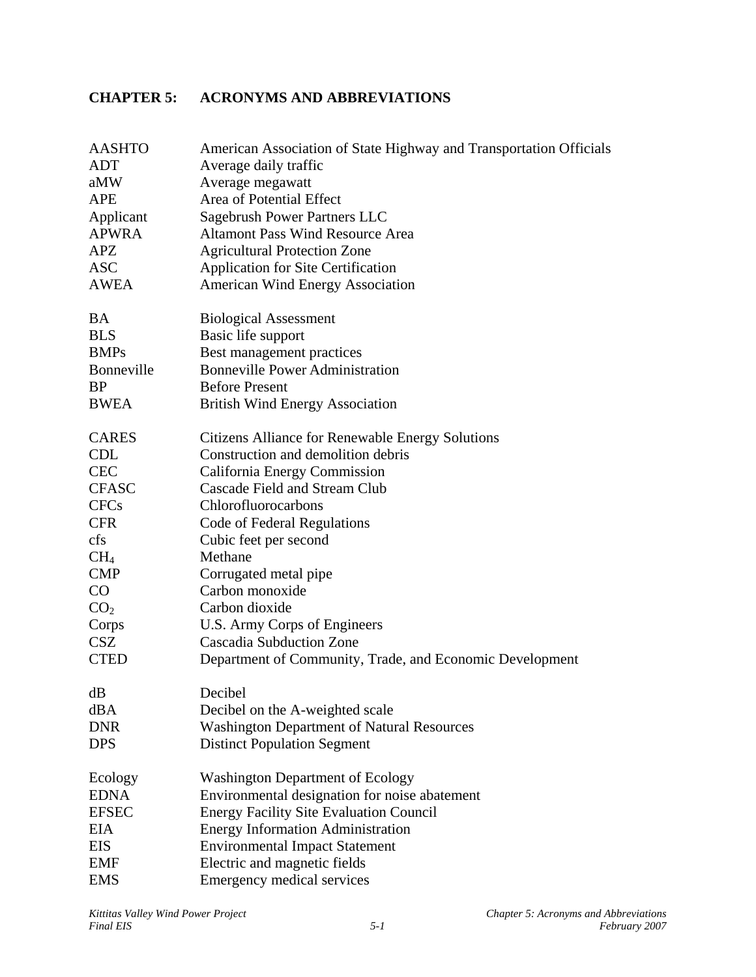## **CHAPTER 5: ACRONYMS AND ABBREVIATIONS**

| <b>AASHTO</b>   | American Association of State Highway and Transportation Officials |
|-----------------|--------------------------------------------------------------------|
| <b>ADT</b>      | Average daily traffic                                              |
| aMW             | Average megawatt                                                   |
| <b>APE</b>      | Area of Potential Effect                                           |
| Applicant       | Sagebrush Power Partners LLC                                       |
| <b>APWRA</b>    | <b>Altamont Pass Wind Resource Area</b>                            |
| APZ             | <b>Agricultural Protection Zone</b>                                |
| <b>ASC</b>      | <b>Application for Site Certification</b>                          |
| AWEA            | <b>American Wind Energy Association</b>                            |
| <b>BA</b>       | <b>Biological Assessment</b>                                       |
| <b>BLS</b>      | Basic life support                                                 |
| <b>BMPs</b>     | Best management practices                                          |
| Bonneville      | <b>Bonneville Power Administration</b>                             |
| <b>BP</b>       | <b>Before Present</b>                                              |
| <b>BWEA</b>     | <b>British Wind Energy Association</b>                             |
| <b>CARES</b>    | <b>Citizens Alliance for Renewable Energy Solutions</b>            |
| <b>CDL</b>      | Construction and demolition debris                                 |
| <b>CEC</b>      | California Energy Commission                                       |
| <b>CFASC</b>    | Cascade Field and Stream Club                                      |
| <b>CFCs</b>     | Chlorofluorocarbons                                                |
| <b>CFR</b>      | Code of Federal Regulations                                        |
| cfs             | Cubic feet per second                                              |
| CH <sub>4</sub> | Methane                                                            |
| <b>CMP</b>      | Corrugated metal pipe                                              |
| $\rm CO$        | Carbon monoxide                                                    |
| CO <sub>2</sub> | Carbon dioxide                                                     |
| Corps           | U.S. Army Corps of Engineers                                       |
| <b>CSZ</b>      | <b>Cascadia Subduction Zone</b>                                    |
| <b>CTED</b>     | Department of Community, Trade, and Economic Development           |
| dB              | Decibel                                                            |
| dBA             | Decibel on the A-weighted scale                                    |
| <b>DNR</b>      | <b>Washington Department of Natural Resources</b>                  |
| <b>DPS</b>      | <b>Distinct Population Segment</b>                                 |
| Ecology         | <b>Washington Department of Ecology</b>                            |
| <b>EDNA</b>     | Environmental designation for noise abatement                      |
| <b>EFSEC</b>    | <b>Energy Facility Site Evaluation Council</b>                     |
| <b>EIA</b>      | <b>Energy Information Administration</b>                           |
| <b>EIS</b>      | <b>Environmental Impact Statement</b>                              |
| EMF             | Electric and magnetic fields                                       |
| <b>EMS</b>      | Emergency medical services                                         |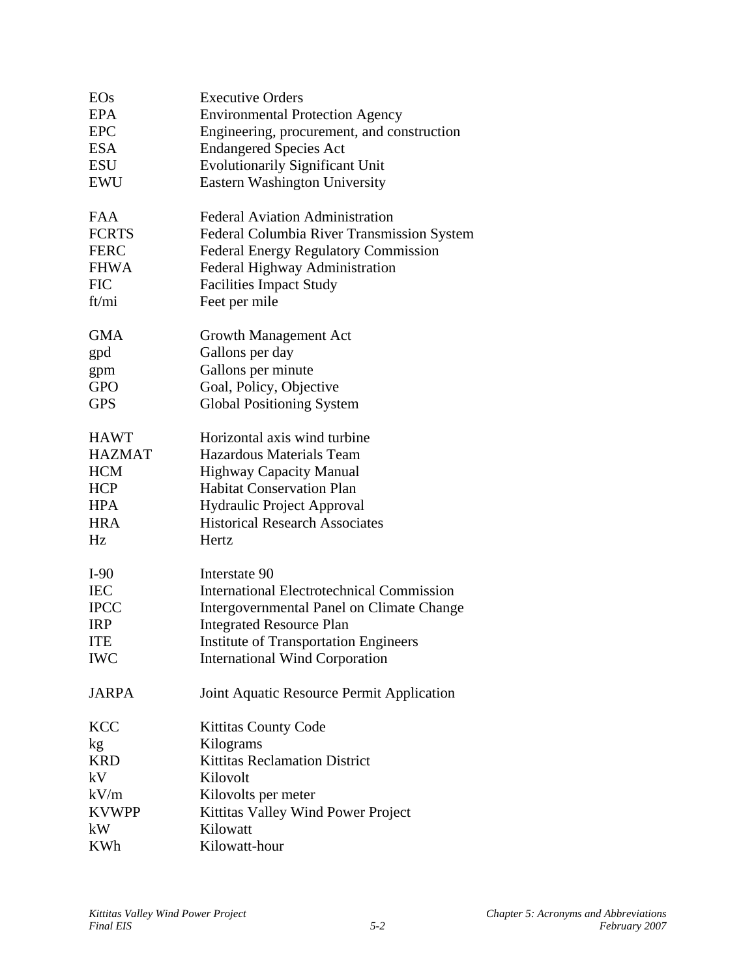| EOs               | <b>Executive Orders</b>                          |
|-------------------|--------------------------------------------------|
| <b>EPA</b>        | <b>Environmental Protection Agency</b>           |
| <b>EPC</b>        | Engineering, procurement, and construction       |
| <b>ESA</b>        | <b>Endangered Species Act</b>                    |
| <b>ESU</b>        | <b>Evolutionarily Significant Unit</b>           |
| <b>EWU</b>        | <b>Eastern Washington University</b>             |
|                   |                                                  |
| FAA               | <b>Federal Aviation Administration</b>           |
| <b>FCRTS</b>      | Federal Columbia River Transmission System       |
| <b>FERC</b>       | <b>Federal Energy Regulatory Commission</b>      |
| <b>FHWA</b>       | Federal Highway Administration                   |
| <b>FIC</b>        | <b>Facilities Impact Study</b>                   |
| ft/mi             | Feet per mile                                    |
|                   |                                                  |
| <b>GMA</b>        | Growth Management Act                            |
| gpd               | Gallons per day                                  |
|                   | Gallons per minute                               |
| gpm<br><b>GPO</b> | Goal, Policy, Objective                          |
| <b>GPS</b>        | <b>Global Positioning System</b>                 |
|                   |                                                  |
| <b>HAWT</b>       | Horizontal axis wind turbine                     |
| <b>HAZMAT</b>     | <b>Hazardous Materials Team</b>                  |
| <b>HCM</b>        | Highway Capacity Manual                          |
| <b>HCP</b>        | <b>Habitat Conservation Plan</b>                 |
| <b>HPA</b>        | Hydraulic Project Approval                       |
| <b>HRA</b>        | <b>Historical Research Associates</b>            |
|                   |                                                  |
| Hz                | Hertz                                            |
| $I-90$            | Interstate 90                                    |
| <b>IEC</b>        | <b>International Electrotechnical Commission</b> |
| <b>IPCC</b>       | Intergovernmental Panel on Climate Change        |
| <b>IRP</b>        | <b>Integrated Resource Plan</b>                  |
| <b>ITE</b>        |                                                  |
|                   | <b>Institute of Transportation Engineers</b>     |
| <b>IWC</b>        | <b>International Wind Corporation</b>            |
| <b>JARPA</b>      | Joint Aquatic Resource Permit Application        |
|                   |                                                  |
| <b>KCC</b>        | <b>Kittitas County Code</b>                      |
| kg                | Kilograms                                        |
| <b>KRD</b>        | <b>Kittitas Reclamation District</b>             |
| kV                | Kilovolt                                         |
| kV/m              | Kilovolts per meter                              |
| <b>KVWPP</b>      | Kittitas Valley Wind Power Project               |
| kW                | Kilowatt                                         |
| <b>KWh</b>        | Kilowatt-hour                                    |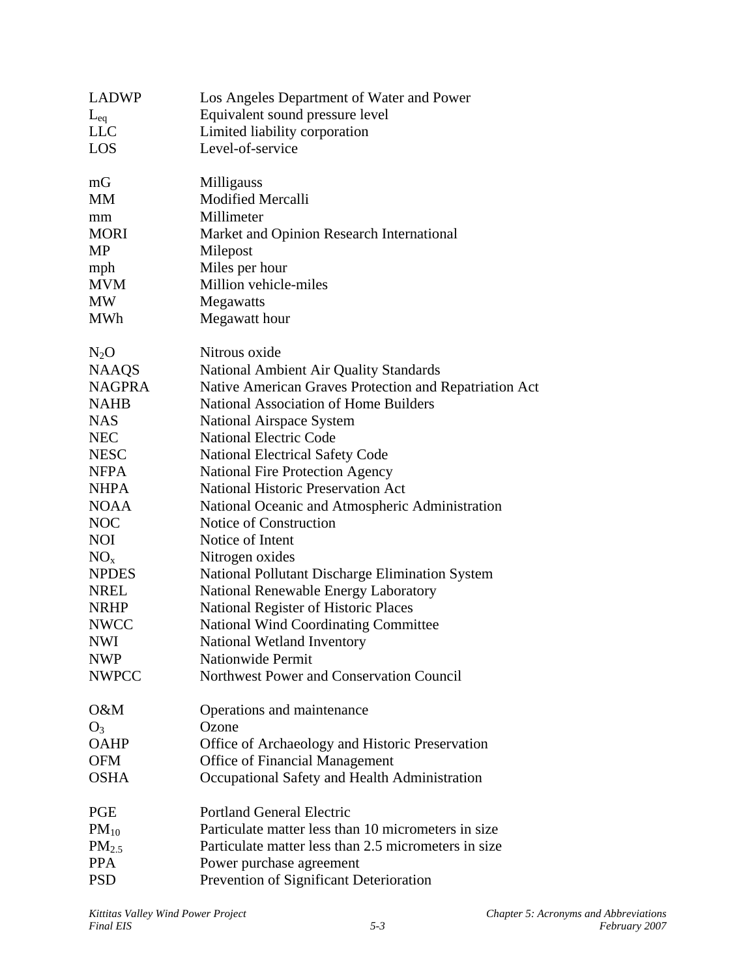| <b>LADWP</b>  | Los Angeles Department of Water and Power              |
|---------------|--------------------------------------------------------|
| $L_{eq}$      | Equivalent sound pressure level                        |
| <b>LLC</b>    | Limited liability corporation                          |
| <b>LOS</b>    | Level-of-service                                       |
| mG            | Milligauss                                             |
| <b>MM</b>     | <b>Modified Mercalli</b>                               |
| mm            | Millimeter                                             |
| <b>MORI</b>   | Market and Opinion Research International              |
| <b>MP</b>     | Milepost                                               |
| mph           | Miles per hour                                         |
| <b>MVM</b>    | Million vehicle-miles                                  |
| <b>MW</b>     | Megawatts                                              |
| <b>MWh</b>    | Megawatt hour                                          |
| $N_2O$        | Nitrous oxide                                          |
| <b>NAAQS</b>  | National Ambient Air Quality Standards                 |
| <b>NAGPRA</b> | Native American Graves Protection and Repatriation Act |
| <b>NAHB</b>   | <b>National Association of Home Builders</b>           |
| <b>NAS</b>    | National Airspace System                               |
| <b>NEC</b>    | <b>National Electric Code</b>                          |
| <b>NESC</b>   | <b>National Electrical Safety Code</b>                 |
| <b>NFPA</b>   | <b>National Fire Protection Agency</b>                 |
| <b>NHPA</b>   | <b>National Historic Preservation Act</b>              |
| <b>NOAA</b>   | National Oceanic and Atmospheric Administration        |
| <b>NOC</b>    | Notice of Construction                                 |
| <b>NOI</b>    | Notice of Intent                                       |
| $NO_{x}$      | Nitrogen oxides                                        |
| <b>NPDES</b>  | National Pollutant Discharge Elimination System        |
| <b>NREL</b>   | National Renewable Energy Laboratory                   |
| <b>NRHP</b>   | National Register of Historic Places                   |
| <b>NWCC</b>   | <b>National Wind Coordinating Committee</b>            |
| <b>NWI</b>    | National Wetland Inventory                             |
| <b>NWP</b>    | Nationwide Permit                                      |
| <b>NWPCC</b>  | Northwest Power and Conservation Council               |
| O&M           | Operations and maintenance                             |
| $O_3$         | Ozone                                                  |
| <b>OAHP</b>   | Office of Archaeology and Historic Preservation        |
| <b>OFM</b>    | <b>Office of Financial Management</b>                  |
| <b>OSHA</b>   | Occupational Safety and Health Administration          |
| <b>PGE</b>    | <b>Portland General Electric</b>                       |
| $PM_{10}$     | Particulate matter less than 10 micrometers in size    |
| $PM_{2.5}$    | Particulate matter less than 2.5 micrometers in size   |
| <b>PPA</b>    | Power purchase agreement                               |
| <b>PSD</b>    | Prevention of Significant Deterioration                |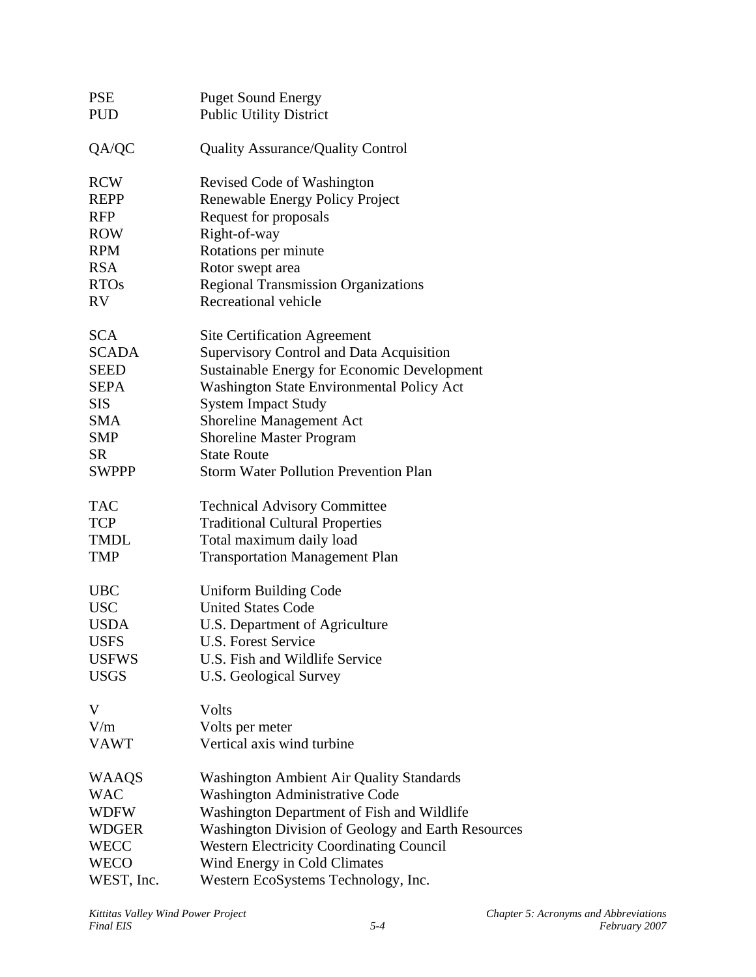| <b>PSE</b><br><b>PUD</b> | <b>Puget Sound Energy</b><br><b>Public Utility District</b> |
|--------------------------|-------------------------------------------------------------|
|                          |                                                             |
| QA/QC                    | Quality Assurance/Quality Control                           |
| <b>RCW</b>               | Revised Code of Washington                                  |
| <b>REPP</b>              | Renewable Energy Policy Project                             |
| <b>RFP</b>               | Request for proposals                                       |
| <b>ROW</b>               | Right-of-way                                                |
| <b>RPM</b>               | Rotations per minute                                        |
| <b>RSA</b>               | Rotor swept area                                            |
| <b>RTOs</b>              | <b>Regional Transmission Organizations</b>                  |
| <b>RV</b>                | Recreational vehicle                                        |
| <b>SCA</b>               | <b>Site Certification Agreement</b>                         |
| <b>SCADA</b>             | Supervisory Control and Data Acquisition                    |
| <b>SEED</b>              | Sustainable Energy for Economic Development                 |
| <b>SEPA</b>              | Washington State Environmental Policy Act                   |
| <b>SIS</b>               | <b>System Impact Study</b>                                  |
| <b>SMA</b>               | Shoreline Management Act                                    |
| <b>SMP</b>               | <b>Shoreline Master Program</b>                             |
| <b>SR</b>                | <b>State Route</b>                                          |
| <b>SWPPP</b>             | <b>Storm Water Pollution Prevention Plan</b>                |
| <b>TAC</b>               | <b>Technical Advisory Committee</b>                         |
| <b>TCP</b>               | <b>Traditional Cultural Properties</b>                      |
| <b>TMDL</b>              | Total maximum daily load                                    |
| <b>TMP</b>               | <b>Transportation Management Plan</b>                       |
| <b>UBC</b>               | <b>Uniform Building Code</b>                                |
| <b>USC</b>               | <b>United States Code</b>                                   |
| <b>USDA</b>              | U.S. Department of Agriculture                              |
| <b>USFS</b>              | U.S. Forest Service                                         |
| <b>USFWS</b>             | U.S. Fish and Wildlife Service                              |
| <b>USGS</b>              | U.S. Geological Survey                                      |
| V                        | Volts                                                       |
| V/m                      | Volts per meter                                             |
| <b>VAWT</b>              | Vertical axis wind turbine                                  |
| <b>WAAQS</b>             | Washington Ambient Air Quality Standards                    |
| <b>WAC</b>               | Washington Administrative Code                              |
| <b>WDFW</b>              | Washington Department of Fish and Wildlife                  |
| <b>WDGER</b>             | Washington Division of Geology and Earth Resources          |
| <b>WECC</b>              | <b>Western Electricity Coordinating Council</b>             |
| <b>WECO</b>              | Wind Energy in Cold Climates                                |
| WEST, Inc.               | Western EcoSystems Technology, Inc.                         |